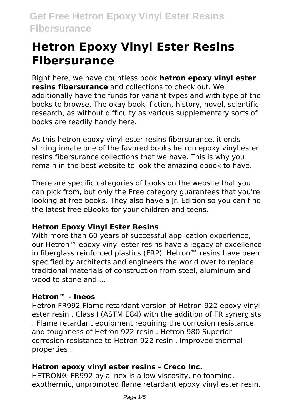Right here, we have countless book **hetron epoxy vinyl ester resins fibersurance** and collections to check out. We additionally have the funds for variant types and with type of the books to browse. The okay book, fiction, history, novel, scientific research, as without difficulty as various supplementary sorts of books are readily handy here.

As this hetron epoxy vinyl ester resins fibersurance, it ends stirring innate one of the favored books hetron epoxy vinyl ester resins fibersurance collections that we have. This is why you remain in the best website to look the amazing ebook to have.

There are specific categories of books on the website that you can pick from, but only the Free category guarantees that you're looking at free books. They also have a Jr. Edition so you can find the latest free eBooks for your children and teens.

# **Hetron Epoxy Vinyl Ester Resins**

With more than 60 years of successful application experience. our Hetron™ epoxy vinyl ester resins have a legacy of excellence in fiberglass reinforced plastics (FRP). Hetron™ resins have been specified by architects and engineers the world over to replace traditional materials of construction from steel, aluminum and wood to stone and

# **Hetron™ - Ineos**

Hetron FR992 Flame retardant version of Hetron 922 epoxy vinyl ester resin . Class I (ASTM E84) with the addition of FR synergists . Flame retardant equipment requiring the corrosion resistance and toughness of Hetron 922 resin . Hetron 980 Superior corrosion resistance to Hetron 922 resin . Improved thermal properties .

# **Hetron epoxy vinyl ester resins - Creco Inc.**

HETRON® FR992 by allnex is a low viscosity, no foaming, exothermic, unpromoted flame retardant epoxy vinyl ester resin.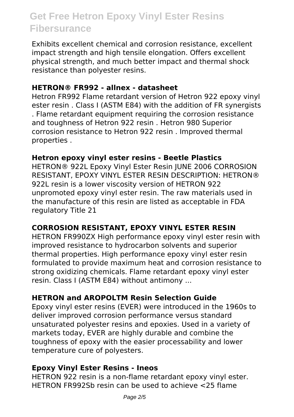Exhibits excellent chemical and corrosion resistance, excellent impact strength and high tensile elongation. Offers excellent physical strength, and much better impact and thermal shock resistance than polyester resins.

#### **HETRON® FR992 - allnex - datasheet**

Hetron FR992 Flame retardant version of Hetron 922 epoxy vinyl ester resin . Class I (ASTM E84) with the addition of FR synergists . Flame retardant equipment requiring the corrosion resistance and toughness of Hetron 922 resin . Hetron 980 Superior corrosion resistance to Hetron 922 resin . Improved thermal properties .

#### **Hetron epoxy vinyl ester resins - Beetle Plastics**

HETRON® 922L Epoxy Vinyl Ester Resin JUNE 2006 CORROSION RESISTANT, EPOXY VINYL ESTER RESIN DESCRIPTION: HETRON® 922L resin is a lower viscosity version of HETRON 922 unpromoted epoxy vinyl ester resin. The raw materials used in the manufacture of this resin are listed as acceptable in FDA regulatory Title 21

### **CORROSION RESISTANT, EPOXY VINYL ESTER RESIN**

HETRON FR990ZX High performance epoxy vinyl ester resin with improved resistance to hydrocarbon solvents and superior thermal properties. High performance epoxy vinyl ester resin formulated to provide maximum heat and corrosion resistance to strong oxidizing chemicals. Flame retardant epoxy vinyl ester resin. Class I (ASTM E84) without antimony ...

### **HETRON and AROPOLTM Resin Selection Guide**

Epoxy vinyl ester resins (EVER) were introduced in the 1960s to deliver improved corrosion performance versus standard unsaturated polyester resins and epoxies. Used in a variety of markets today, EVER are highly durable and combine the toughness of epoxy with the easier processability and lower temperature cure of polyesters.

#### **Epoxy Vinyl Ester Resins - Ineos**

HETRON 922 resin is a non-flame retardant epoxy vinyl ester. HETRON FR992Sb resin can be used to achieve <25 flame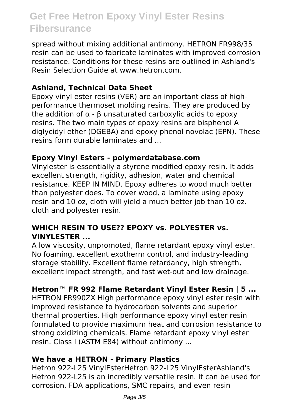spread without mixing additional antimony. HETRON FR998/35 resin can be used to fabricate laminates with improved corrosion resistance. Conditions for these resins are outlined in Ashland's Resin Selection Guide at www.hetron.com.

### **Ashland, Technical Data Sheet**

Epoxy vinyl ester resins (VER) are an important class of highperformance thermoset molding resins. They are produced by the addition of  $α - β$  unsaturated carboxylic acids to epoxy resins. The two main types of epoxy resins are bisphenol A diglycidyl ether (DGEBA) and epoxy phenol novolac (EPN). These resins form durable laminates and ...

#### **Epoxy Vinyl Esters - polymerdatabase.com**

Vinylester is essentially a styrene modified epoxy resin. It adds excellent strength, rigidity, adhesion, water and chemical resistance. KEEP IN MIND. Epoxy adheres to wood much better than polyester does. To cover wood, a laminate using epoxy resin and 10 oz, cloth will yield a much better job than 10 oz. cloth and polyester resin.

### **WHICH RESIN TO USE?? EPOXY vs. POLYESTER vs. VINYLESTER ...**

A low viscosity, unpromoted, flame retardant epoxy vinyl ester. No foaming, excellent exotherm control, and industry-leading storage stability. Excellent flame retardancy, high strength, excellent impact strength, and fast wet-out and low drainage.

### **Hetron™ FR 992 Flame Retardant Vinyl Ester Resin | 5 ...**

HETRON FR990ZX High performance epoxy vinyl ester resin with improved resistance to hydrocarbon solvents and superior thermal properties. High performance epoxy vinyl ester resin formulated to provide maximum heat and corrosion resistance to strong oxidizing chemicals. Flame retardant epoxy vinyl ester resin. Class I (ASTM E84) without antimony ...

### **We have a HETRON - Primary Plastics**

Hetron 922-L25 VinylEsterHetron 922-L25 VinylEsterAshland's Hetron 922-L25 is an incredibly versatile resin. It can be used for corrosion, FDA applications, SMC repairs, and even resin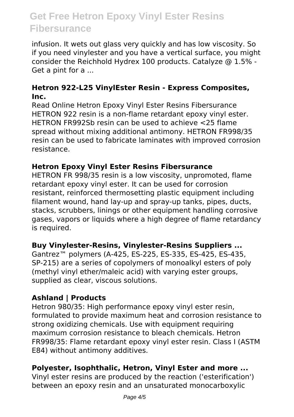infusion. It wets out glass very quickly and has low viscosity. So if you need vinylester and you have a vertical surface, you might consider the Reichhold Hydrex 100 products. Catalyze @ 1.5% - Get a pint for a ...

#### **Hetron 922-L25 VinylEster Resin - Express Composites, Inc.**

Read Online Hetron Epoxy Vinyl Ester Resins Fibersurance HETRON 922 resin is a non-flame retardant epoxy vinyl ester. HETRON FR992Sb resin can be used to achieve <25 flame spread without mixing additional antimony. HETRON FR998/35 resin can be used to fabricate laminates with improved corrosion resistance.

#### **Hetron Epoxy Vinyl Ester Resins Fibersurance**

HETRON FR 998/35 resin is a low viscosity, unpromoted, flame retardant epoxy vinyl ester. It can be used for corrosion resistant, reinforced thermosetting plastic equipment including filament wound, hand lay-up and spray-up tanks, pipes, ducts, stacks, scrubbers, linings or other equipment handling corrosive gases, vapors or liquids where a high degree of flame retardancy is required.

#### **Buy Vinylester-Resins, Vinylester-Resins Suppliers ...**

Gantrez™ polymers (A-425, ES-225, ES-335, ES-425, ES-435, SP-215) are a series of copolymers of monoalkyl esters of poly (methyl vinyl ether/maleic acid) with varying ester groups, supplied as clear, viscous solutions.

### **Ashland | Products**

Hetron 980/35: High performance epoxy vinyl ester resin, formulated to provide maximum heat and corrosion resistance to strong oxidizing chemicals. Use with equipment requiring maximum corrosion resistance to bleach chemicals. Hetron FR998/35: Flame retardant epoxy vinyl ester resin. Class I (ASTM E84) without antimony additives.

#### **Polyester, Isophthalic, Hetron, Vinyl Ester and more ...**

Vinyl ester resins are produced by the reaction ('esterification') between an epoxy resin and an unsaturated monocarboxylic